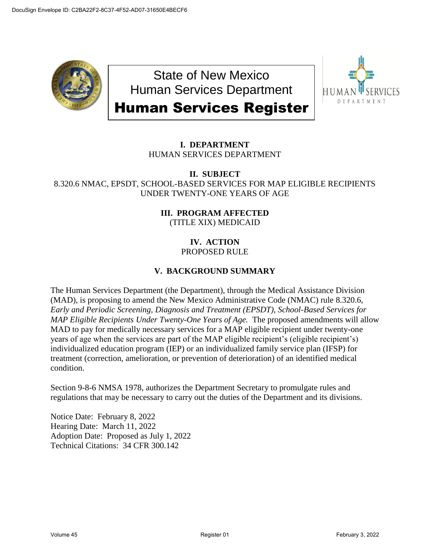

State of New Mexico Human Services Department Human Services Register



# **I. DEPARTMENT** HUMAN SERVICES DEPARTMENT

## **II. SUBJECT** 8.320.6 NMAC, EPSDT, SCHOOL-BASED SERVICES FOR MAP ELIGIBLE RECIPIENTS UNDER TWENTY-ONE YEARS OF AGE

# **III. PROGRAM AFFECTED** (TITLE XIX) MEDICAID

#### **IV. ACTION** PROPOSED RULE

# **V. BACKGROUND SUMMARY**

The Human Services Department (the Department), through the Medical Assistance Division (MAD), is proposing to amend the New Mexico Administrative Code (NMAC) rule 8.320.6, *Early and Periodic Screening, Diagnosis and Treatment (EPSDT), School-Based Services for MAP Eligible Recipients Under Twenty-One Years of Age. The proposed amendments will allow* MAD to pay for medically necessary services for a MAP eligible recipient under twenty-one years of age when the services are part of the MAP eligible recipient's (eligible recipient's) individualized education program (IEP) or an individualized family service plan (IFSP) for treatment (correction, amelioration, or prevention of deterioration) of an identified medical condition.

Section 9-8-6 NMSA 1978, authorizes the Department Secretary to promulgate rules and regulations that may be necessary to carry out the duties of the Department and its divisions.

Notice Date: February 8, 2022 Hearing Date: March 11, 2022 Adoption Date: Proposed as July 1, 2022 Technical Citations: 34 CFR 300.142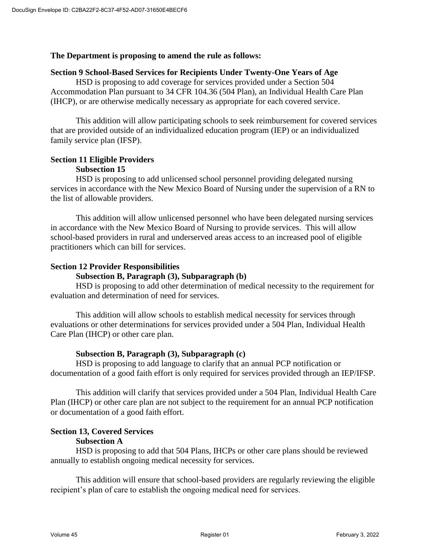#### **The Department is proposing to amend the rule as follows:**

#### **Section 9 School-Based Services for Recipients Under Twenty-One Years of Age**

HSD is proposing to add coverage for services provided under a Section 504 Accommodation Plan pursuant to 34 CFR 104.36 (504 Plan), an Individual Health Care Plan (IHCP), or are otherwise medically necessary as appropriate for each covered service.

This addition will allow participating schools to seek reimbursement for covered services that are provided outside of an individualized education program (IEP) or an individualized family service plan (IFSP).

# **Section 11 Eligible Providers**

#### **Subsection 15**

HSD is proposing to add unlicensed school personnel providing delegated nursing services in accordance with the New Mexico Board of Nursing under the supervision of a RN to the list of allowable providers.

This addition will allow unlicensed personnel who have been delegated nursing services in accordance with the New Mexico Board of Nursing to provide services. This will allow school-based providers in rural and underserved areas access to an increased pool of eligible practitioners which can bill for services.

## **Section 12 Provider Responsibilities**

#### **Subsection B, Paragraph (3), Subparagraph (b)**

HSD is proposing to add other determination of medical necessity to the requirement for evaluation and determination of need for services.

This addition will allow schools to establish medical necessity for services through evaluations or other determinations for services provided under a 504 Plan, Individual Health Care Plan (IHCP) or other care plan.

## **Subsection B, Paragraph (3), Subparagraph (c)**

HSD is proposing to add language to clarify that an annual PCP notification or documentation of a good faith effort is only required for services provided through an IEP/IFSP.

This addition will clarify that services provided under a 504 Plan, Individual Health Care Plan (IHCP) or other care plan are not subject to the requirement for an annual PCP notification or documentation of a good faith effort.

## **Section 13, Covered Services**

#### **Subsection A**

HSD is proposing to add that 504 Plans, IHCPs or other care plans should be reviewed annually to establish ongoing medical necessity for services.

This addition will ensure that school-based providers are regularly reviewing the eligible recipient's plan of care to establish the ongoing medical need for services.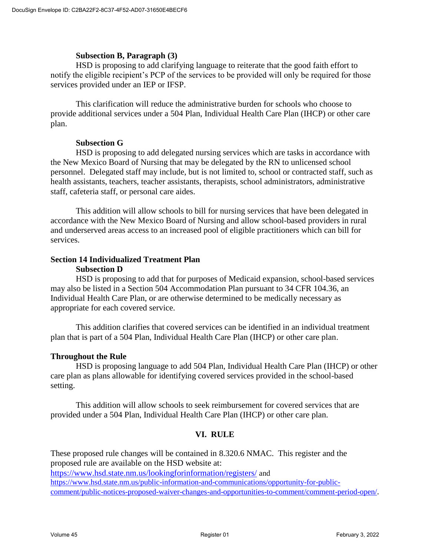#### **Subsection B, Paragraph (3)**

HSD is proposing to add clarifying language to reiterate that the good faith effort to notify the eligible recipient's PCP of the services to be provided will only be required for those services provided under an IEP or IFSP.

This clarification will reduce the administrative burden for schools who choose to provide additional services under a 504 Plan, Individual Health Care Plan (IHCP) or other care plan.

#### **Subsection G**

HSD is proposing to add delegated nursing services which are tasks in accordance with the New Mexico Board of Nursing that may be delegated by the RN to unlicensed school personnel. Delegated staff may include, but is not limited to, school or contracted staff, such as health assistants, teachers, teacher assistants, therapists, school administrators, administrative staff, cafeteria staff, or personal care aides.

This addition will allow schools to bill for nursing services that have been delegated in accordance with the New Mexico Board of Nursing and allow school-based providers in rural and underserved areas access to an increased pool of eligible practitioners which can bill for services.

## **Section 14 Individualized Treatment Plan Subsection D**

HSD is proposing to add that for purposes of Medicaid expansion, school-based services may also be listed in a Section 504 Accommodation Plan pursuant to 34 CFR 104.36, an Individual Health Care Plan, or are otherwise determined to be medically necessary as appropriate for each covered service.

This addition clarifies that covered services can be identified in an individual treatment plan that is part of a 504 Plan, Individual Health Care Plan (IHCP) or other care plan.

## **Throughout the Rule**

HSD is proposing language to add 504 Plan, Individual Health Care Plan (IHCP) or other care plan as plans allowable for identifying covered services provided in the school-based setting.

This addition will allow schools to seek reimbursement for covered services that are provided under a 504 Plan, Individual Health Care Plan (IHCP) or other care plan.

## **VI. RULE**

These proposed rule changes will be contained in 8.320.6 NMAC. This register and the proposed rule are available on the HSD website at: <https://www.hsd.state.nm.us/lookingforinformation/registers/> and [https://www.hsd.state.nm.us/public-information-and-communications/opportunity-for-public](https://www.hsd.state.nm.us/public-information-and-communications/opportunity-for-public-comment/public-notices-proposed-waiver-changes-and-opportunities-to-comment/comment-period-open/)[comment/public-notices-proposed-waiver-changes-and-opportunities-to-comment/comment-period-open/](https://www.hsd.state.nm.us/public-information-and-communications/opportunity-for-public-comment/public-notices-proposed-waiver-changes-and-opportunities-to-comment/comment-period-open/).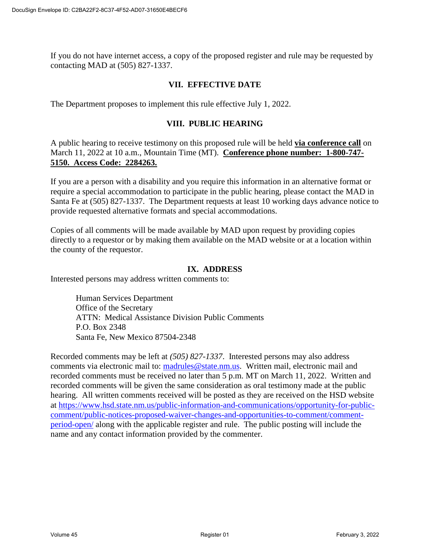If you do not have internet access, a copy of the proposed register and rule may be requested by contacting MAD at (505) 827-1337.

## **VII. EFFECTIVE DATE**

The Department proposes to implement this rule effective July 1, 2022.

## **VIII. PUBLIC HEARING**

A public hearing to receive testimony on this proposed rule will be held **via conference call** on March 11, 2022 at 10 a.m., Mountain Time (MT). **Conference phone number: 1-800-747- 5150. Access Code: 2284263.**

If you are a person with a disability and you require this information in an alternative format or require a special accommodation to participate in the public hearing, please contact the MAD in Santa Fe at (505) 827-1337. The Department requests at least 10 working days advance notice to provide requested alternative formats and special accommodations.

Copies of all comments will be made available by MAD upon request by providing copies directly to a requestor or by making them available on the MAD website or at a location within the county of the requestor.

#### **IX. ADDRESS**

Interested persons may address written comments to:

Human Services Department Office of the Secretary ATTN: Medical Assistance Division Public Comments P.O. Box 2348 Santa Fe, New Mexico 87504-2348

Recorded comments may be left at *(505) 827-1337*. Interested persons may also address comments via electronic mail to: [madrules@state.nm.us.](mailto:madrules@state.nm.us) Written mail, electronic mail and recorded comments must be received no later than 5 p.m. MT on March 11, 2022. Written and recorded comments will be given the same consideration as oral testimony made at the public hearing. All written comments received will be posted as they are received on the HSD website at [https://www.hsd.state.nm.us/public-information-and-communications/opportunity-for-public](https://www.hsd.state.nm.us/public-information-and-communications/opportunity-for-public-comment/public-notices-proposed-waiver-changes-and-opportunities-to-comment/comment-period-open/)[comment/public-notices-proposed-waiver-changes-and-opportunities-to-comment/comment](https://www.hsd.state.nm.us/public-information-and-communications/opportunity-for-public-comment/public-notices-proposed-waiver-changes-and-opportunities-to-comment/comment-period-open/)[period-open/](https://www.hsd.state.nm.us/public-information-and-communications/opportunity-for-public-comment/public-notices-proposed-waiver-changes-and-opportunities-to-comment/comment-period-open/) along with the applicable register and rule. The public posting will include the name and any contact information provided by the commenter.